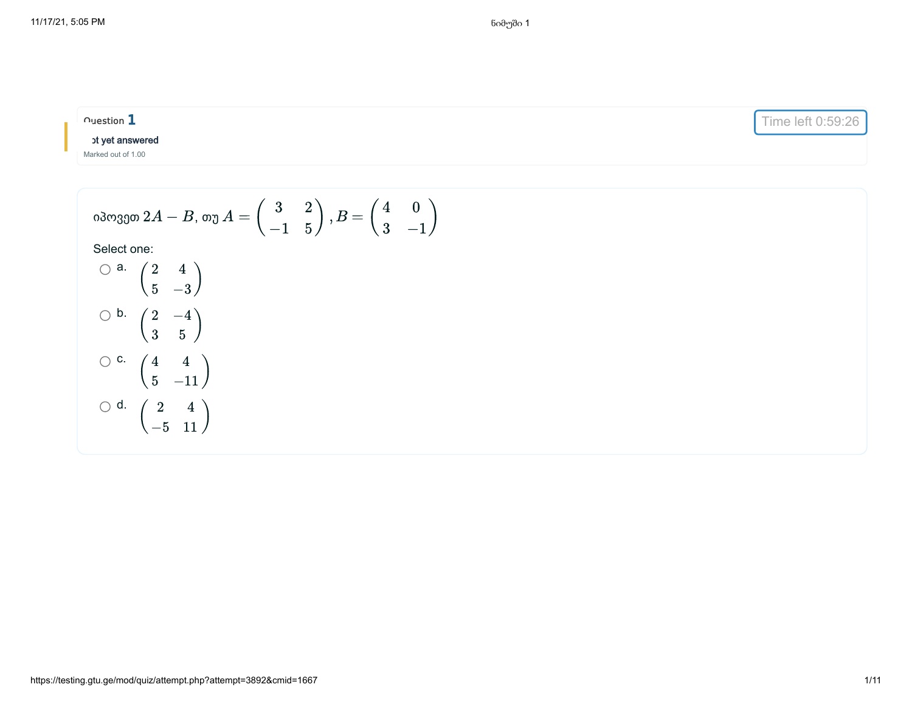| $\cap$ uestion $1$                                                                                                                                | Time left 0:59:26 |
|---------------------------------------------------------------------------------------------------------------------------------------------------|-------------------|
| ot yet answered                                                                                                                                   |                   |
| Marked out of 1.00                                                                                                                                |                   |
|                                                                                                                                                   |                   |
| იპოვეთ 2 $A-B$ , თუ $A=\left( \begin{array}{cc} 3 & 2 \ -1 & 5 \end{array} \right), B=\frac{\sqrt{3}}{2}$<br>3<br>$\hspace{0.1mm}-\hspace{0.1mm}$ |                   |

$$
\bigcirc \begin{array}{cc} a. & \begin{pmatrix} 2 & 4 \\ 5 & -3 \end{pmatrix} \\ & \bigcirc b. & \begin{pmatrix} 2 & -4 \\ 3 & 5 \end{pmatrix} \\ & \bigcirc c. & \begin{pmatrix} 4 & 4 \\ 5 & -11 \end{pmatrix} \\ & \bigcirc d. & \begin{pmatrix} 2 & 4 \\ -5 & 11 \end{pmatrix} \end{array}
$$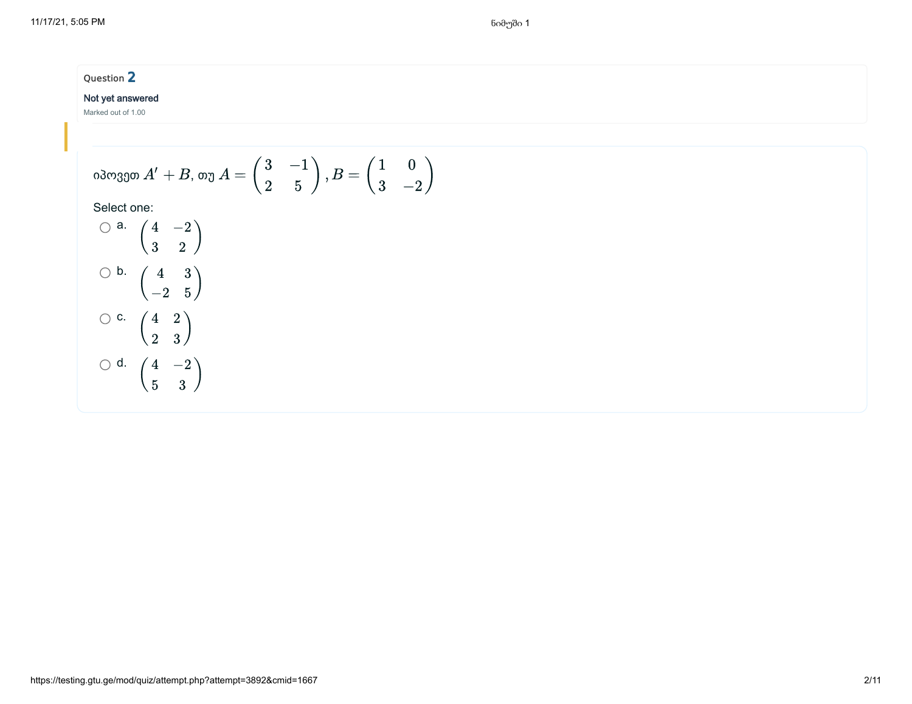#### Not yet answered

Marked out of 1.00

c.

 $\begin{pmatrix} 0 & 0 \end{pmatrix}$ 4 2

 $\begin{pmatrix} 1 & 0 \\ 0 & 0 \end{pmatrix}$ 4 5

 $-2$ 3

2 3

d.

$$
\begin{array}{l} \text{odoggo } A' + B \text{, } \text{oy } A = \begin{pmatrix} 3 & -1 \\ 2 & 5 \end{pmatrix}, B = \begin{pmatrix} 1 & 0 \\ 3 & -2 \end{pmatrix} \\\\ \text{Select one:} \\\\ \bigcirc \begin{array}{c} \text{a.} \begin{pmatrix} 4 & -2 \\ 3 & 2 \end{pmatrix} \\\\ \bigcirc \begin{array}{c} \text{b.} \begin{pmatrix} 4 & 3 \\ -2 & 5 \end{pmatrix} \end{array} \end{array}
$$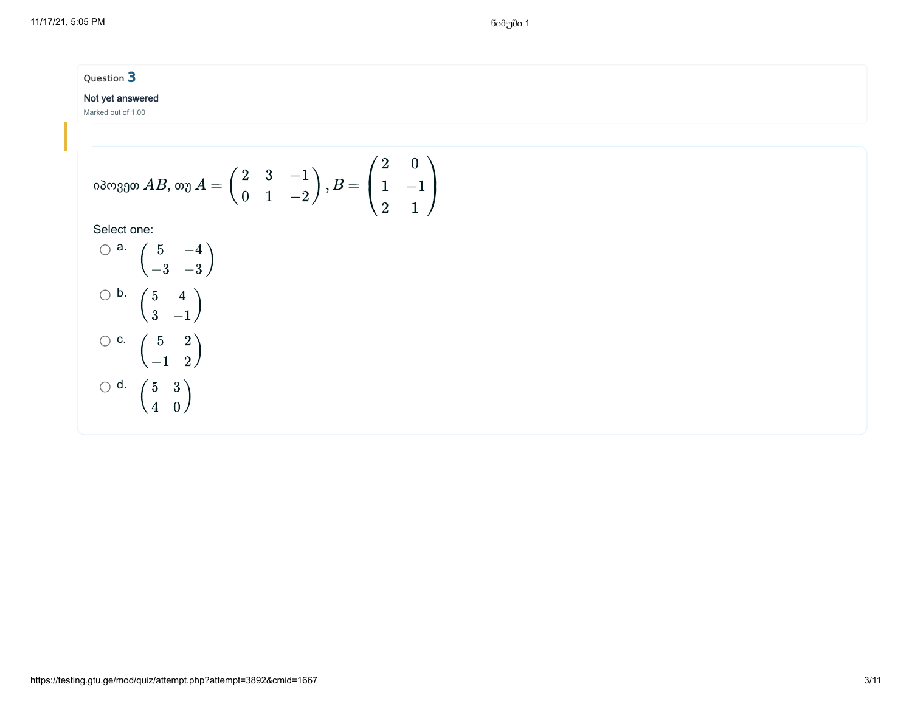### Not yet answered

Marked out of 1.00

იპოვეთ 
$$
AB
$$
, თუ  $A = \begin{pmatrix} 2 & 3 & -1 \\ 0 & 1 & -2 \end{pmatrix}$ ,  $B = \begin{pmatrix} 2 & 0 \\ 1 & -1 \\ 2 & 1 \end{pmatrix}$ 

$$
\begin{array}{c}\n\bigcirc \mathsf{a.} \begin{pmatrix} 5 & -4 \\ -3 & -3 \end{pmatrix} \\
\bigcirc \mathsf{b.} \begin{pmatrix} 5 & 4 \\ 3 & -1 \end{pmatrix} \\
\bigcirc \mathsf{c.} \begin{pmatrix} 5 & 2 \\ -1 & 2 \end{pmatrix} \\
\bigcirc \mathsf{d.} \begin{pmatrix} 5 & 3 \\ 4 & 0 \end{pmatrix}\n\end{array}
$$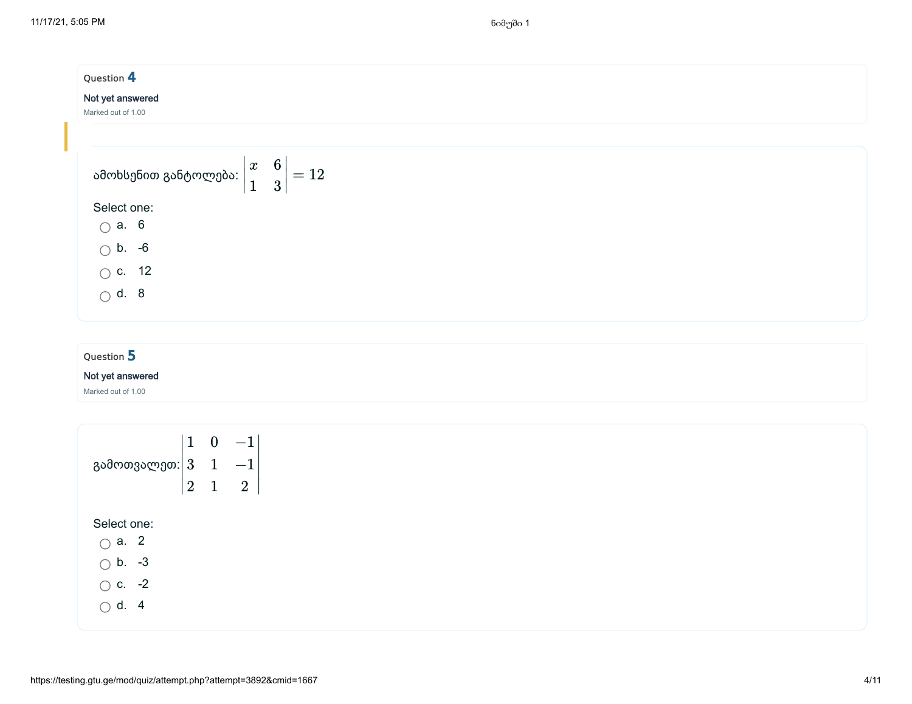| Question 4                                                                       |  |  |
|----------------------------------------------------------------------------------|--|--|
| Not yet answered                                                                 |  |  |
| Marked out of 1.00                                                               |  |  |
|                                                                                  |  |  |
| ამოხსენით განტოლება: $\left \begin{matrix} x & 6 \ 1 & 3 \end{matrix}\right =12$ |  |  |
|                                                                                  |  |  |
| Select one:                                                                      |  |  |
| $\bigcirc$ a. 6                                                                  |  |  |
| $\bigcirc$ b. -6                                                                 |  |  |
| $\circ$ c. 12                                                                    |  |  |
| $\bigcirc$ d. 8                                                                  |  |  |
|                                                                                  |  |  |

#### Not yet answered

Marked out of 1.00

გამოთვალეთ: Select one: a. 2  $\bigcirc$  b. -3  $\bigcirc$  c. -2 ∣ ∣ ∣ ∣ 1 3 2  $\overline{0}$ 1 1 −1 −1 2 ∣ ∣ ∣ ∣

 $\bigcirc$  d. 4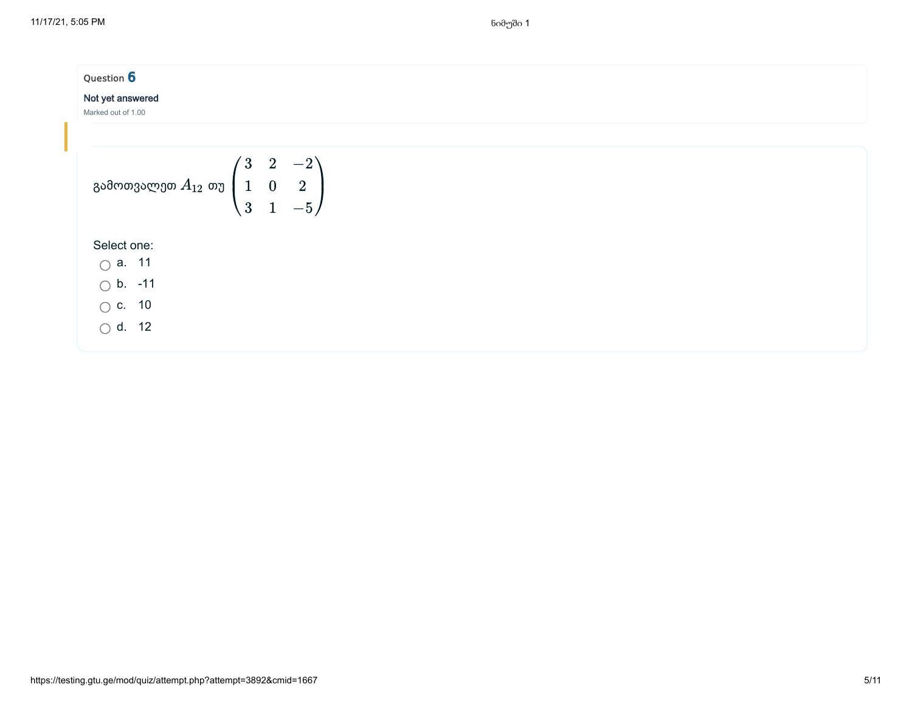| Question 6<br>Not yet answered<br>Marked out of 1.00                                       |  |  |
|--------------------------------------------------------------------------------------------|--|--|
|                                                                                            |  |  |
| გამოთვალეთ $A_{12}$ თუ $\begin{pmatrix} 3 & 2 & -2 \ 1 & 0 & 2 \ 3 & 1 & -5 \end{pmatrix}$ |  |  |
| Select one:                                                                                |  |  |
| $\bigcirc$ a. 11                                                                           |  |  |
| $\bigcirc$ b. -11                                                                          |  |  |
| $\bigcirc$ c. 10                                                                           |  |  |
| $\bigcirc$ d. 12                                                                           |  |  |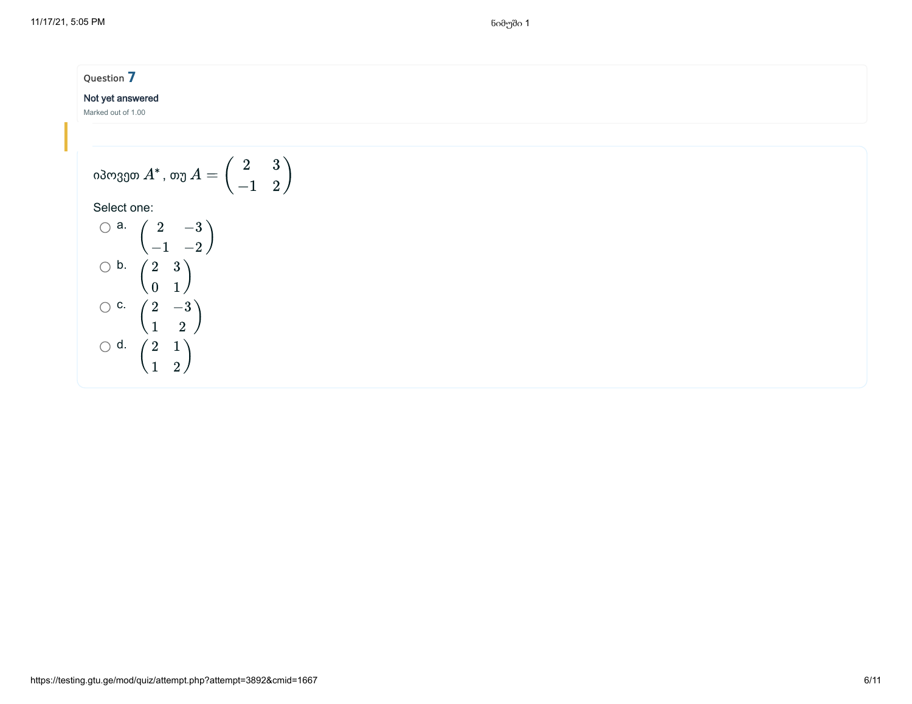## Not yet answered

Marked out of 1.00

$$
(\text{3033}) \text{ A}^*, \text{ or } A = \begin{pmatrix} 2 & 3 \\ -1 & 2 \end{pmatrix}
$$

$$
\bigcirc^{a.} \begin{pmatrix} 2 & -3 \\ -1 & -2 \end{pmatrix}
$$
  

$$
\bigcirc^{b.} \begin{pmatrix} 2 & 3 \\ 0 & 1 \end{pmatrix}
$$
  

$$
\bigcirc^{c.} \begin{pmatrix} 2 & -3 \\ 1 & 2 \end{pmatrix}
$$
  

$$
\bigcirc^{d.} \begin{pmatrix} 2 & 1 \\ 1 & 2 \end{pmatrix}
$$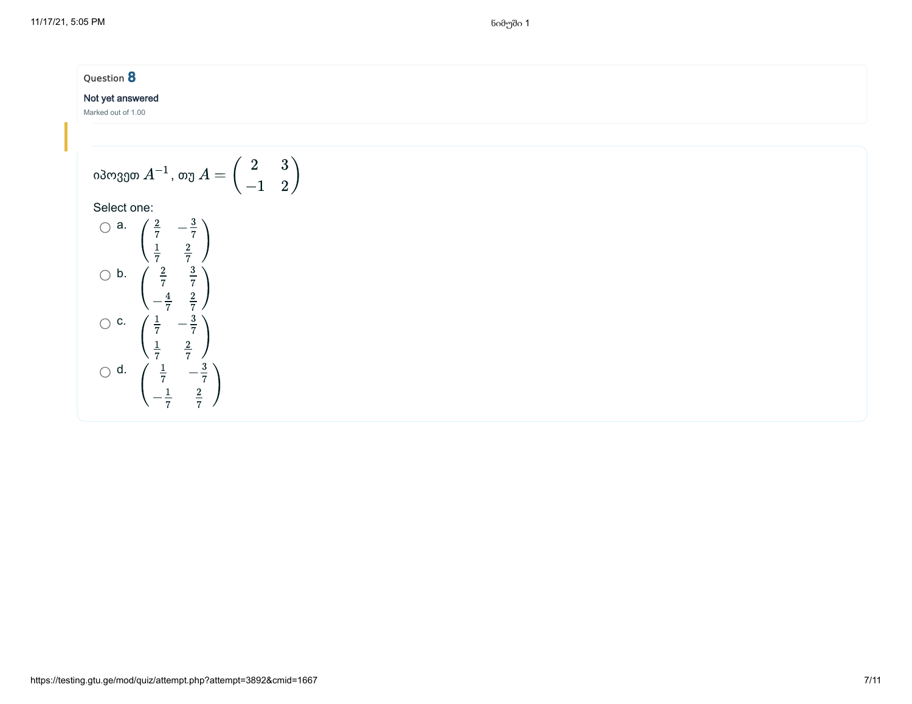# Question **8** Not yet answered Marked out of 1.00

$$
(\text{along 1}) \text{ and } A^{-1} \text{, } \text{ or } A = \begin{pmatrix} 2 & 3 \\ -1 & 2 \end{pmatrix}
$$
\n
$$
\text{Select one: } \text{Q} \text{ and } \text{Q} \text{ and } \text{Q} \text{ and } \text{Q} \text{ are } A \text{ and } A = \begin{pmatrix} 2 & 3 \\ 3 & 3 \end{pmatrix}
$$

030, 030, 04<sup>-1</sup>, 00, 04 =  
\nSelect one:  
\n
$$
\frac{2}{7} - \frac{3}{7}
$$
\n
$$
\frac{1}{7} - \frac{2}{7}
$$
\n
$$
\frac{2}{7} - \frac{3}{7}
$$
\n
$$
\frac{2}{7} - \frac{3}{7}
$$
\n
$$
\frac{4}{7} - \frac{2}{7}
$$
\n
$$
\frac{1}{7} - \frac{3}{7}
$$
\n
$$
\frac{1}{7} - \frac{3}{7}
$$
\n
$$
\frac{1}{7} - \frac{3}{7}
$$
\n
$$
\frac{1}{7} - \frac{3}{7}
$$
\n
$$
\frac{1}{7} - \frac{3}{7}
$$
\n
$$
\frac{1}{7} - \frac{3}{7}
$$
\n
$$
\frac{1}{7} - \frac{3}{7}
$$
\n
$$
\frac{2}{7} - \frac{3}{7}
$$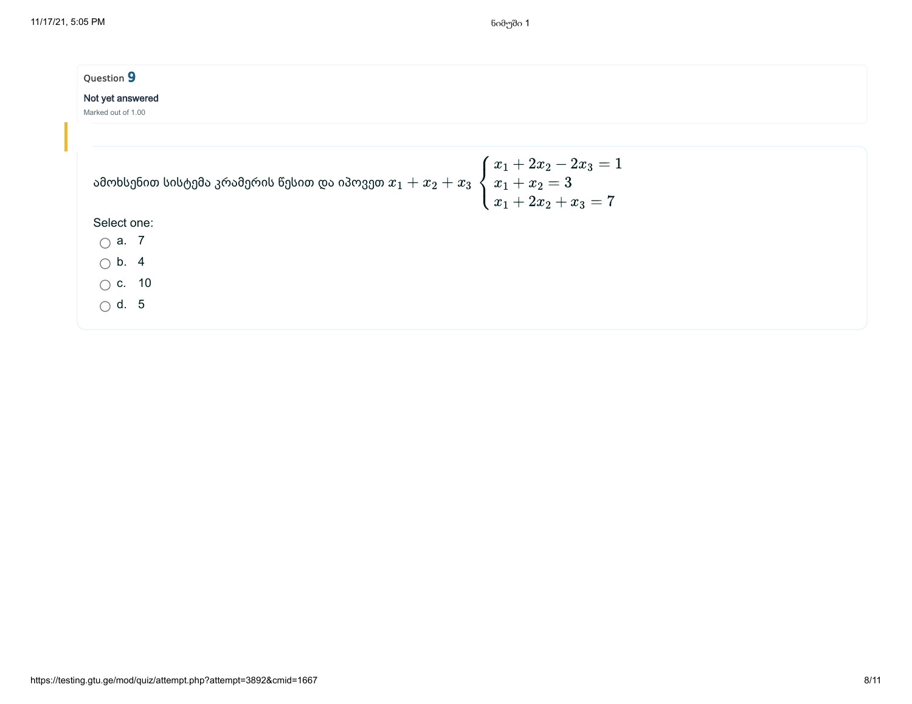| Question 9         |                                                                                                                                 |  |
|--------------------|---------------------------------------------------------------------------------------------------------------------------------|--|
| Not yet answered   |                                                                                                                                 |  |
| Marked out of 1.00 |                                                                                                                                 |  |
|                    |                                                                                                                                 |  |
|                    | ამოხსენით სისტემა კრამერის წესით და იპოვეთ $x_1+x_2+x_3 \begin{cases} x_1+2x_2-2x_3=1 \ x_1+x_2=3 \ x_1+2x_2+x_3=7 \end{cases}$ |  |
| Select one:        |                                                                                                                                 |  |
| $\bigcirc$ a. 7    |                                                                                                                                 |  |
| $\bigcirc$ b. 4    |                                                                                                                                 |  |
| $\bigcirc$ c. 10   |                                                                                                                                 |  |
| $\bigcap$ d. 5     |                                                                                                                                 |  |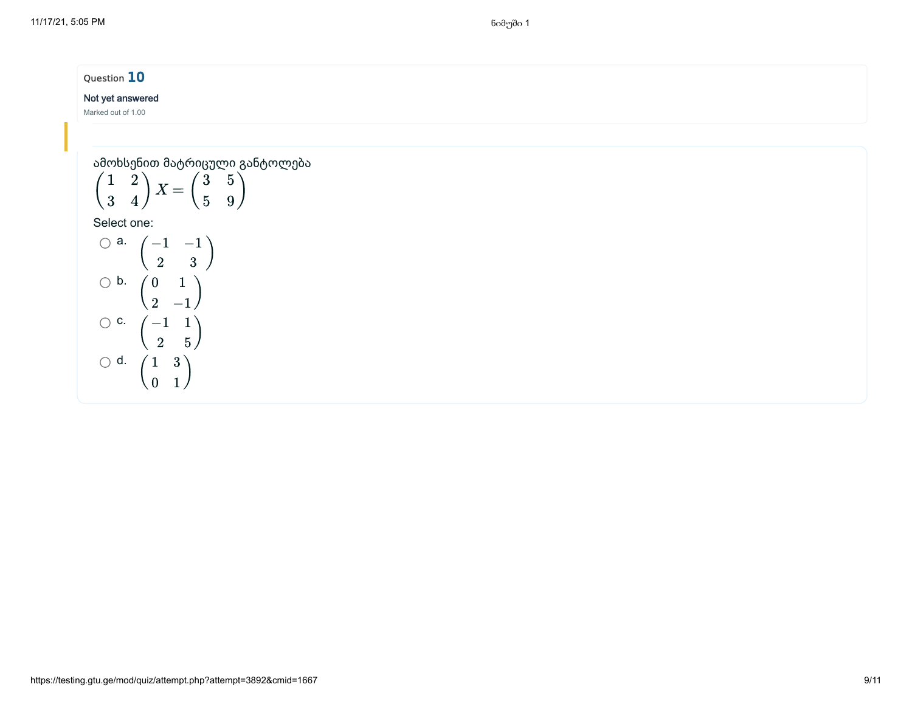11/17/21, 5:05 PM ნიმუში 1

# Question 10

## Not yet answered

Marked out of 1.00

ამოხსენით მატრიცული განტოლება

$$
\begin{pmatrix} 1 & 2 \\ 3 & 4 \end{pmatrix} X = \begin{pmatrix} 3 & 5 \\ 5 & 9 \end{pmatrix}
$$

$$
\begin{array}{cc}\n\bigcirc \mathsf{a.} & \begin{pmatrix} -1 & -1 \\ 2 & 3 \end{pmatrix} \\
\bigcirc \mathsf{b.} & \begin{pmatrix} 0 & 1 \\ 2 & -1 \end{pmatrix} \\
\bigcirc \mathsf{c.} & \begin{pmatrix} -1 & 1 \\ 2 & 5 \end{pmatrix} \\
\bigcirc \mathsf{d.} & \begin{pmatrix} 1 & 3 \\ 0 & 1 \end{pmatrix}\n\end{array}
$$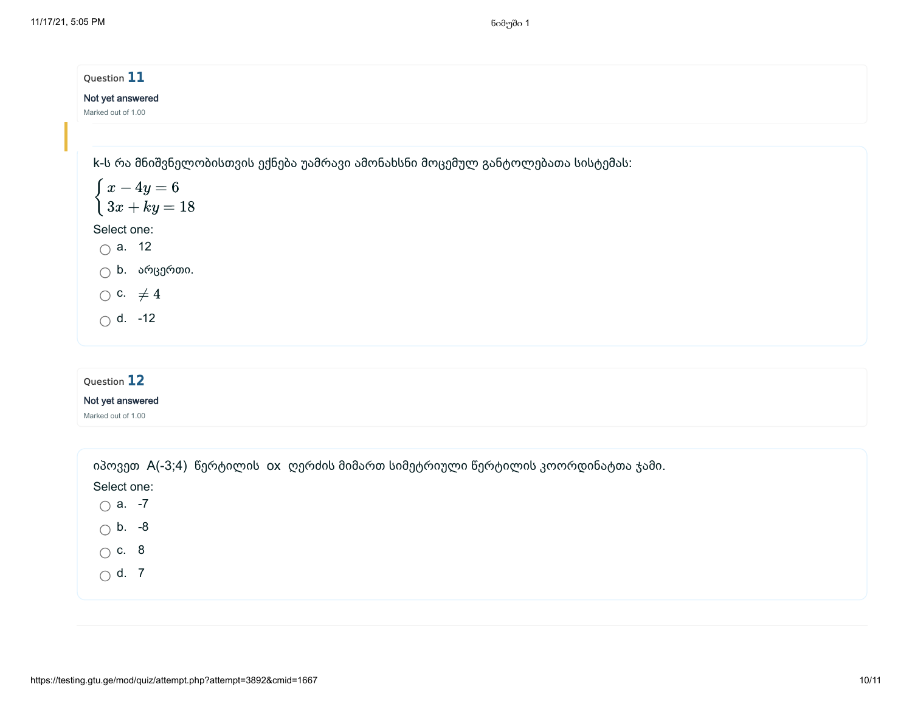| Question 11                                                                    |  |  |
|--------------------------------------------------------------------------------|--|--|
| Not yet answered                                                               |  |  |
| Marked out of 1.00                                                             |  |  |
|                                                                                |  |  |
| k-ს რა მნიშვნელობისთვის ექნება უამრავი ამონახსნი მოცემულ განტოლებათა სისტემას: |  |  |
| $\begin{cases}\nx - 4y = 6 \\ 3x + ky = 18\n\end{cases}$                       |  |  |
|                                                                                |  |  |
| Select one:                                                                    |  |  |
| $\bigcirc$ a. 12                                                               |  |  |
| $\bigcirc$ b. არცერთი.                                                         |  |  |
| $\bigcirc$ c. $\neq 4$                                                         |  |  |
| $\bigcirc$ d. -12                                                              |  |  |
|                                                                                |  |  |
|                                                                                |  |  |
| Question 12                                                                    |  |  |
| Not yet answered                                                               |  |  |
| Marked out of 1.00                                                             |  |  |
|                                                                                |  |  |

| იპოვეთ A(-3;4) წერტილის ox ღერძის მიმართ სიმეტრიული წერტილის კოორდინატთა ჯამი. |
|--------------------------------------------------------------------------------|
| Select one:                                                                    |
| $\bigcirc$ a. -7                                                               |
| $\bigcirc$ b. -8                                                               |
| $\bigcirc$ c. 8                                                                |
| $\bigcirc$ d. 7                                                                |
|                                                                                |